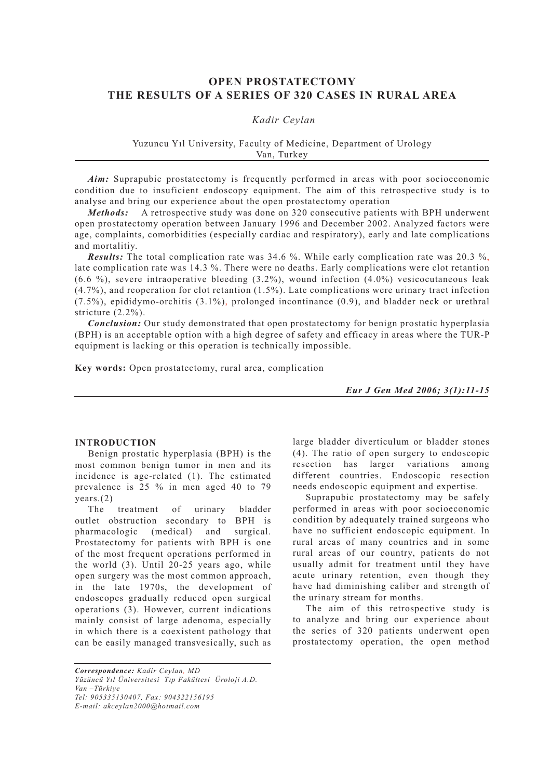# **OPEN PROSTATECTOMY THE RESULTS OF A SERIES OF 320 CASES IN RURAL AREA**

# *Kadir Ceylan*

### Yuzuncu Yıl University, Faculty of Medicine, Department of Urology Van, Turkey

*Aim:* Suprapubic prostatectomy is frequently performed in areas with poor socioeconomic condition due to insuficient endoscopy equipment. The aim of this retrospective study is to analyse and bring our experience about the open prostatectomy operation

*Methods:* A retrospective study was done on 320 consecutive patients with BPH underwent open prostatectomy operation between January 1996 and December 2002. Analyzed factors were age, complaints, comorbidities (especially cardiac and respiratory), early and late complications and mortalitiy.

*Results:* The total complication rate was 34.6 %. While early complication rate was 20.3 %, late complication rate was 14.3 %. There were no deaths. Early complications were clot retantion  $(6.6 \%)$ , severe intraoperative bleeding  $(3.2\%)$ , wound infection  $(4.0\%)$  vesicocutaneous leak (4.7%), and reoperation for clot retantion (1.5%). Late complications were urinary tract infection  $(7.5\%)$ , epididymo-orchitis  $(3.1\%)$ , prolonged incontinance  $(0.9)$ , and bladder neck or urethral stricture (2.2%).

*Conclusion:* Our study demonstrated that open prostatectomy for benign prostatic hyperplasia (BPH) is an acceptable option with a high degree of safety and efficacy in areas where the TUR-P equipment is lacking or this operation is technically impossible.

**Key words:** Open prostatectomy, rural area, complication

*Eur J Gen Med 2006; 3(1):11-15*

## **INTRODUCTION**

Benign prostatic hyperplasia (BPH) is the most common benign tumor in men and its incidence is age-related (1). The estimated prevalence is 25 % in men aged 40 to 79 years.(2)

The treatment of urinary bladder outlet obstruction secondary to BPH is pharmacologic (medical) and surgical. Prostatectomy for patients with BPH is one of the most frequent operations performed in the world (3). Until 20-25 years ago, while open surgery was the most common approach, in the late 1970s, the development of endoscopes gradually reduced open surgical operations (3). However, current indications mainly consist of large adenoma, especially in which there is a coexistent pathology that can be easily managed transvesically, such as

*Correspondence: Kadir Ceylan, MD Yüzüncü Yıl Üniversitesi Tıp Fakültesi Üroloji A.D. Van –Türkiye Tel: 905335130407, Fax: 904322156195 E-mail: akceylan2000@hotmail.com*

large bladder diverticulum or bladder stones (4). The ratio of open surgery to endoscopic resection has larger variations among different countries. Endoscopic resection needs endoscopic equipment and expertise.

Suprapubic prostatectomy may be safely performed in areas with poor socioeconomic condition by adequately trained surgeons who have no sufficient endoscopic equipment. In rural areas of many countries and in some rural areas of our country, patients do not usually admit for treatment until they have acute urinary retention, even though they have had diminishing caliber and strength of the urinary stream for months.

The aim of this retrospective study is to analyze and bring our experience about the series of 320 patients underwent open prostatectomy operation, the open method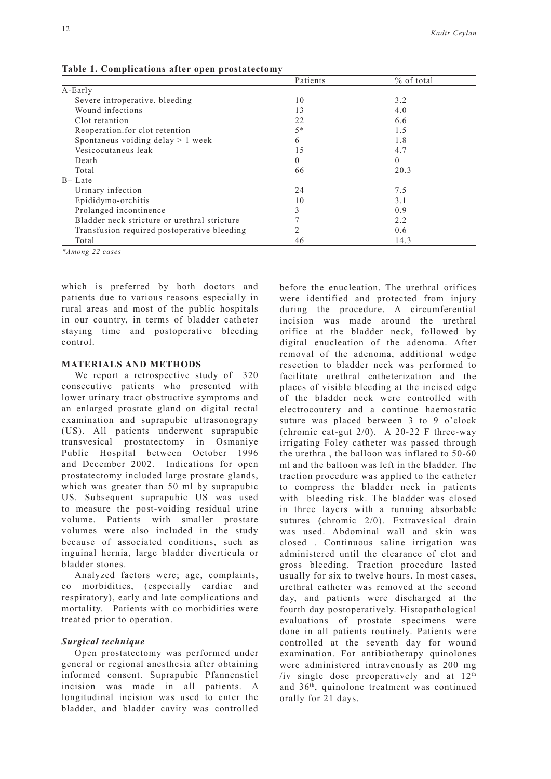|                                              | Patients | % of total |
|----------------------------------------------|----------|------------|
| A-Early                                      |          |            |
| Severe introperative, bleeding               | 10       | 3.2        |
| Wound infections                             | 13       | 4.0        |
| Clot retantion                               | 22       | 6.6        |
| Reoperation for clot retention               | $5*$     | 1.5        |
| Spontaneus voiding delay $> 1$ week          | 6        | 1.8        |
| Vesicocutaneus leak                          | 15       | 4.7        |
| Death                                        | 0        | 0          |
| Total                                        | 66       | 20.3       |
| $B -$ Late                                   |          |            |
| Urinary infection                            | 24       | 7.5        |
| Epididymo-orchitis                           | 10       | 3.1        |
| Prolanged incontinence                       | 3        | 0.9        |
| Bladder neck stricture or urethral stricture |          | 2.2        |
| Transfusion required postoperative bleeding  | 2        | 0.6        |
| Total                                        | 46       | 14.3       |

**Table 1. Complications after open prostatectomy**

*\*Among 22 cases*

which is preferred by both doctors and patients due to various reasons especially in rural areas and most of the public hospitals in our country, in terms of bladder catheter staying time and postoperative bleeding control.

### **MATERIALS AND METHODS**

We report a retrospective study of 320 consecutive patients who presented with lower urinary tract obstructive symptoms and an enlarged prostate gland on digital rectal examination and suprapubic ultrasonograpy (US). All patients underwent suprapubic transvesical prostatectomy in Osmaniye Public Hospital between October 1996 and December 2002. Indications for open prostatectomy included large prostate glands, which was greater than 50 ml by suprapubic US. Subsequent suprapubic US was used to measure the post-voiding residual urine volume. Patients with smaller prostate volumes were also included in the study because of associated conditions, such as inguinal hernia, large bladder diverticula or bladder stones.

Analyzed factors were; age, complaints, co morbidities, (especially cardiac and respiratory), early and late complications and mortality. Patients with co morbidities were treated prior to operation.

## *Surgical technique*

Open prostatectomy was performed under general or regional anesthesia after obtaining informed consent. Suprapubic Pfannenstiel incision was made in all patients. A longitudinal incision was used to enter the bladder, and bladder cavity was controlled before the enucleation. The urethral orifices were identified and protected from injury during the procedure. A circumferential incision was made around the urethral orifice at the bladder neck, followed by digital enucleation of the adenoma. After removal of the adenoma, additional wedge resection to bladder neck was performed to facilitate urethral catheterization and the places of visible bleeding at the incised edge of the bladder neck were controlled with electrocoutery and a continue haemostatic suture was placed between 3 to 9 o'clock (chromic cat-gut 2/0). A 20-22 F three-way irrigating Foley catheter was passed through the urethra , the balloon was inflated to 50-60 ml and the balloon was left in the bladder. The traction procedure was applied to the catheter to compress the bladder neck in patients with bleeding risk. The bladder was closed in three layers with a running absorbable sutures (chromic 2/0). Extravesical drain was used. Abdominal wall and skin was closed . Continuous saline irrigation was administered until the clearance of clot and gross bleeding. Traction procedure lasted usually for six to twelve hours. In most cases, urethral catheter was removed at the second day, and patients were discharged at the fourth day postoperatively. Histopathological evaluations of prostate specimens were done in all patients routinely. Patients were controlled at the seventh day for wound examination. For antibiotherapy quinolones were administered intravenously as 200 mg /iv single dose preoperatively and at  $12<sup>th</sup>$ and 36th, quinolone treatment was continued orally for 21 days.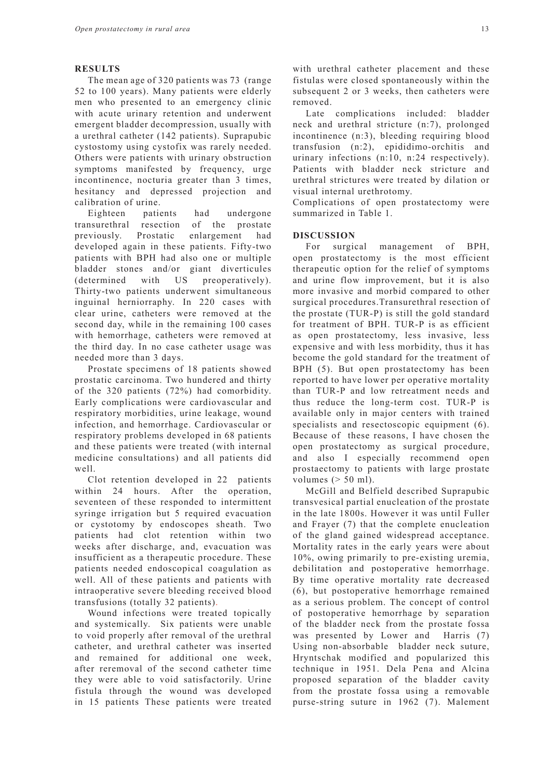#### **RESULTS**

The mean age of 320 patients was 73 (range 52 to 100 years). Many patients were elderly men who presented to an emergency clinic with acute urinary retention and underwent emergent bladder decompression, usually with a urethral catheter (142 patients). Suprapubic cystostomy using cystofix was rarely needed. Others were patients with urinary obstruction symptoms manifested by frequency, urge incontinence, nocturia greater than 3 times, hesitancy and depressed projection and calibration of urine.

Eighteen patients had undergone transurethral resection of the prostate previously. Prostatic enlargement had developed again in these patients. Fifty-two patients with BPH had also one or multiple bladder stones and/or giant diverticules (determined with US preoperatively). Thirty-two patients underwent simultaneous inguinal herniorraphy. In 220 cases with clear urine, catheters were removed at the second day, while in the remaining 100 cases with hemorrhage, catheters were removed at the third day. In no case catheter usage was needed more than 3 days.

Prostate specimens of 18 patients showed prostatic carcinoma. Two hundered and thirty of the 320 patients (72%) had comorbidity. Early complications were cardiovascular and respiratory morbidities, urine leakage, wound infection, and hemorrhage. Cardiovascular or respiratory problems developed in 68 patients and these patients were treated (with internal medicine consultations) and all patients did well.

Clot retention developed in 22 patients within 24 hours. After the operation, seventeen of these responded to intermittent syringe irrigation but 5 required evacuation or cystotomy by endoscopes sheath. Two patients had clot retention within two weeks after discharge, and, evacuation was insufficient as a therapeutic procedure. These patients needed endoscopical coagulation as well. All of these patients and patients with intraoperative severe bleeding received blood transfusions (totally 32 patients).

Wound infections were treated topically and systemically. Six patients were unable to void properly after removal of the urethral catheter, and urethral catheter was inserted and remained for additional one week after reremoval of the second catheter time they were able to void satisfactorily. Urine fistula through the wound was developed in 15 patients These patients were treated with urethral catheter placement and these fistulas were closed spontaneously within the subsequent 2 or 3 weeks, then catheters were removed.

Late complications included: bladder neck and urethral stricture (n:7), prolonged incontinence (n:3), bleeding requiring blood transfusion (n:2), epididimo-orchitis and urinary infections (n:10, n:24 respectively). Patients with bladder neck stricture and urethral strictures were treated by dilation or visual internal urethrotomy.

Complications of open prostatectomy were summarized in Table 1.

#### **DISCUSSION**

For surgical management of BPH, open prostatectomy is the most efficient therapeutic option for the relief of symptoms and urine flow improvement, but it is also more invasive and morbid compared to other surgical procedures.Transurethral resection of the prostate (TUR-P) is still the gold standard for treatment of BPH. TUR-P is as efficient as open prostatectomy, less invasive, less expensive and with less morbidity, thus it has become the gold standard for the treatment of BPH (5). But open prostatectomy has been reported to have lower per operative mortality than TUR-P and low retreatment needs and thus reduce the long-term cost. TUR-P is available only in major centers with trained specialists and resectoscopic equipment (6). Because of these reasons, I have chosen the open prostatectomy as surgical procedure, and also I especially recommend open prostaectomy to patients with large prostate volumes  $(> 50$  ml).

McGill and Belfield described Suprapubic transvesical partial enucleation of the prostate in the late 1800s. However it was until Fuller and Frayer (7) that the complete enucleation of the gland gained widespread acceptance. Mortality rates in the early years were about 10%, owing primarily to pre-existing uremia, debilitation and postoperative hemorrhage. By time operative mortality rate decreased (6), but postoperative hemorrhage remained as a serious problem. The concept of control of postoperative hemorrhage by separation of the bladder neck from the prostate fossa was presented by Lower and Harris (7) Using non-absorbable bladder neck suture, Hryntschak modified and popularized this technique in 1951. Dela Pena and Alcina proposed separation of the bladder cavity from the prostate fossa using a removable purse-string suture in 1962 (7). Malement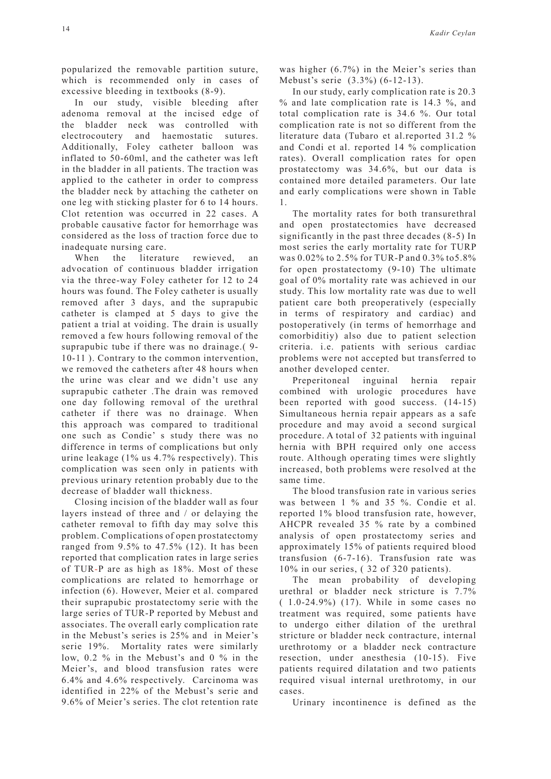popularized the removable partition suture, which is recommended only in cases of excessive bleeding in textbooks (8-9).

In our study, visible bleeding after adenoma removal at the incised edge of the bladder neck was controlled with electrocoutery and haemostatic sutures. Additionally, Foley catheter balloon was inflated to 50-60ml, and the catheter was left in the bladder in all patients. The traction was applied to the catheter in order to compress the bladder neck by attaching the catheter on one leg with sticking plaster for 6 to 14 hours. Clot retention was occurred in 22 cases. A probable causative factor for hemorrhage was considered as the loss of traction force due to inadequate nursing care.

When the literature rewieved, an advocation of continuous bladder irrigation via the three-way Foley catheter for 12 to 24 hours was found. The Foley catheter is usually removed after 3 days, and the suprapubic catheter is clamped at 5 days to give the patient a trial at voiding. The drain is usually removed a few hours following removal of the suprapubic tube if there was no drainage.( 9- 10-11 ). Contrary to the common intervention, we removed the catheters after 48 hours when the urine was clear and we didn't use any suprapubic catheter .The drain was removed one day following removal of the urethral catheter if there was no drainage. When this approach was compared to traditional one such as Condie' s study there was no difference in terms of complications but only urine leakage (1% us 4.7% respectively). This complication was seen only in patients with previous urinary retention probably due to the decrease of bladder wall thickness.

Closing incision of the bladder wall as four layers instead of three and / or delaying the catheter removal to fifth day may solve this problem. Complications of open prostatectomy ranged from 9.5% to 47.5% (12). It has been reported that complication rates in large series of TUR-P are as high as 18%. Most of these complications are related to hemorrhage or infection (6). However, Meier et al. compared their suprapubic prostatectomy serie with the large series of TUR-P reported by Mebust and associates. The overall early complication rate in the Mebust's series is 25% and in Meier's serie 19%. Mortality rates were similarly low, 0.2 % in the Mebust's and 0 % in the Meier's, and blood transfusion rates were 6.4% and 4.6% respectively. Carcinoma was identified in 22% of the Mebust's serie and 9.6% of Meier's series. The clot retention rate was higher (6.7%) in the Meier's series than Mebust's serie (3.3%) (6-12-13).

In our study, early complication rate is 20.3 % and late complication rate is 14.3 %, and total complication rate is 34.6 %. Our total complication rate is not so different from the literature data (Tubaro et al.reported 31.2 % and Condi et al. reported 14 % complication rates). Overall complication rates for open prostatectomy was 34.6%, but our data is contained more detailed parameters. Our late and early complications were shown in Table 1.

The mortality rates for both transurethral and open prostatectomies have decreased significantly in the past three decades (8-5) In most series the early mortality rate for TURP was 0.02% to 2.5% for TUR-P and 0.3% to5.8% for open prostatectomy (9-10) The ultimate goal of 0% mortality rate was achieved in our study. This low mortality rate was due to well patient care both preoperatively (especially in terms of respiratory and cardiac) and postoperatively (in terms of hemorrhage and comorbiditiy) also due to patient selection criteria. i.e. patients with serious cardiac problems were not accepted but transferred to another developed center.

Preperitoneal inguinal hernia repair combined with urologic procedures have been reported with good success. (14-15) Simultaneous hernia repair appears as a safe procedure and may avoid a second surgical procedure. A total of 32 patients with inguinal hernia with BPH required only one access route. Although operating times were slightly increased, both problems were resolved at the same time.

The blood transfusion rate in various series was between 1 % and 35 %. Condie et al. reported 1% blood transfusion rate, however, AHCPR revealed 35 % rate by a combined analysis of open prostatectomy series and approximately 15% of patients required blood transfusion (6-7-16). Transfusion rate was 10% in our series, ( 32 of 320 patients).

The mean probability of developing urethral or bladder neck stricture is 7.7% ( 1.0-24.9%) (17). While in some cases no treatment was required, some patients have to undergo either dilation of the urethral stricture or bladder neck contracture, internal urethrotomy or a bladder neck contracture resection, under anesthesia (10-15). Five patients required dilatation and two patients required visual internal urethrotomy, in our cases.

Urinary incontinence is defined as the